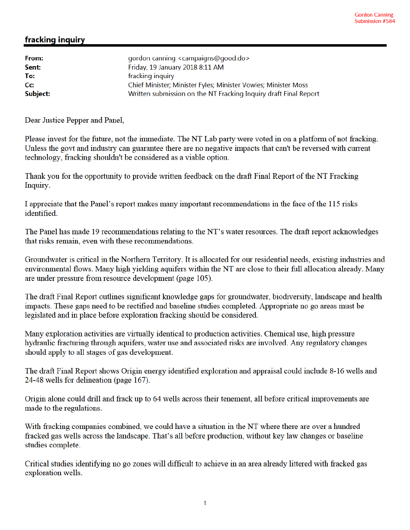## fracking inquiry

| gordon canning <campaigns@good.do></campaigns@good.do>           |
|------------------------------------------------------------------|
| Friday, 19 January 2018 8:11 AM                                  |
| fracking inquiry                                                 |
| Chief Minister; Minister Fyles; Minister Vowles; Minister Moss   |
| Written submission on the NT Fracking Inquiry draft Final Report |
|                                                                  |

Dear Justice Pepper and Panel,

Please invest for the future, not the immediate. The NT Lab party were voted in on a platform of not fracking. Unless the govt and industry can guarantee there are no negative impacts that can't be reversed with current technology, fracking shouldn't be considered as a viable option.

Thank you for the opportunity to provide written feedback on the draft Final Report of the NT Fracking Inquiry.

I appreciate that the Panel's report makes many important recommendations in the face of the 115 risks identified

The Panel has made 19 recommendations relating to the NT's water resources. The draft report acknowledges that risks remain, even with these recommendations.

Groundwater is critical in the Northern Territory. It is allocated for our residential needs, existing industries and environmental flows. Many high yielding aquifers within the NT are close to their full allocation already. Many are under pressure from resource development (page 105).

The draft Final Report outlines significant knowledge gaps for groundwater, biodiversity, landscape and health impacts. These gaps need to be rectified and baseline studies completed. Appropriate no go areas must be legislated and in place before exploration fracking should be considered.

Many exploration activities are virtually identical to production activities. Chemical use, high pressure hydraulic fracturing through aquifers, water use and associated risks are involved. Any regulatory changes should apply to all stages of gas development.

The draft Final Report shows Origin energy identified exploration and appraisal could include 8-16 wells and 24-48 wells for delineation (page 167).

Origin alone could drill and frack up to 64 wells across their tenement, all before critical improvements are made to the regulations.

With fracking companies combined, we could have a situation in the NT where there are over a hundred fracked gas wells across the landscape. That's all before production, without key law changes or baseline studies complete.

Critical studies identifying no go zones will difficult to achieve in an area already littered with fracked gas exploration wells.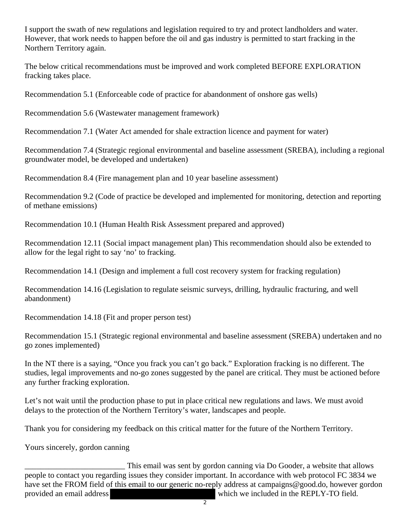I support the swath of new regulations and legislation required to try and protect landholders and water. However, that work needs to happen before the oil and gas industry is permitted to start fracking in the Northern Territory again.

The below critical recommendations must be improved and work completed BEFORE EXPLORATION fracking takes place.

Recommendation 5.1 (Enforceable code of practice for abandonment of onshore gas wells)

Recommendation 5.6 (Wastewater management framework)

Recommendation 7.1 (Water Act amended for shale extraction licence and payment for water)

Recommendation 7.4 (Strategic regional environmental and baseline assessment (SREBA), including a regional groundwater model, be developed and undertaken)

Recommendation 8.4 (Fire management plan and 10 year baseline assessment)

Recommendation 9.2 (Code of practice be developed and implemented for monitoring, detection and reporting of methane emissions)

Recommendation 10.1 (Human Health Risk Assessment prepared and approved)

Recommendation 12.11 (Social impact management plan) This recommendation should also be extended to allow for the legal right to say 'no' to fracking.

Recommendation 14.1 (Design and implement a full cost recovery system for fracking regulation)

Recommendation 14.16 (Legislation to regulate seismic surveys, drilling, hydraulic fracturing, and well abandonment)

Recommendation 14.18 (Fit and proper person test)

Recommendation 15.1 (Strategic regional environmental and baseline assessment (SREBA) undertaken and no go zones implemented)

In the NT there is a saying, "Once you frack you can't go back." Exploration fracking is no different. The studies, legal improvements and no-go zones suggested by the panel are critical. They must be actioned before any further fracking exploration.

Let's not wait until the production phase to put in place critical new regulations and laws. We must avoid delays to the protection of the Northern Territory's water, landscapes and people.

Thank you for considering my feedback on this critical matter for the future of the Northern Territory.

Yours sincerely, gordon canning

This email was sent by gordon canning via Do Gooder, a website that allows people to contact you regarding issues they consider important. In accordance with web protocol FC 3834 we have set the FROM field of this email to our generic no-reply address at campaigns@good.do, however gordon provided an email address which we included in the REPLY-TO field.